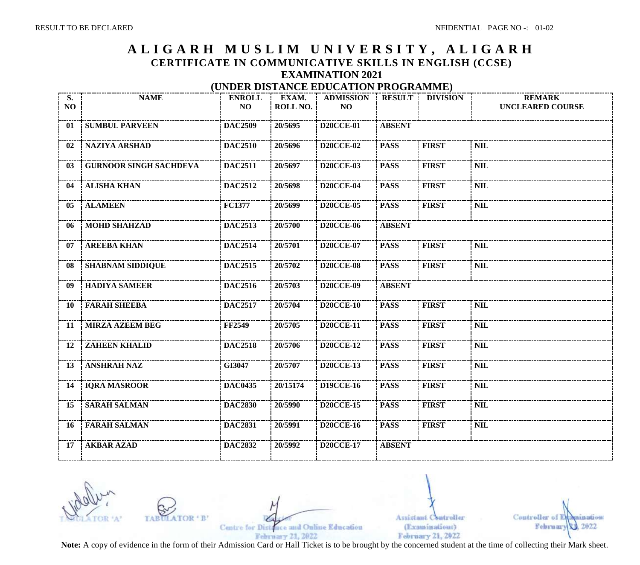## **A L I G A R H M U S L I M U N I V E R S I T Y , A L I G A R H CERTIFICATE IN COMMUNICATIVE SKILLS IN ENGLISH (CCSE) EXAMINATION 2021 (UNDER DISTANCE EDUCATION PROGRAMME)**

| <b>S.</b><br><b>NO</b> | <b>NAME</b>                                             | <b>ENROLL</b><br>NO | EXAM.<br><b>ROLL NO.</b> | <b>ADMISSION</b><br><b>NO</b> | <b>RESULT</b> | <b>DIVISION</b> | <b>REMARK</b><br><b>UNCLEARED COURSE</b> |
|------------------------|---------------------------------------------------------|---------------------|--------------------------|-------------------------------|---------------|-----------------|------------------------------------------|
| 01                     | -------------------------<br><b>SUMBUL PARVEEN</b>      | <b>DAC2509</b>      | 20/5695                  | <b>D20CCE-01</b>              | <b>ABSENT</b> |                 |                                          |
| 02                     | NAZIYA ARSHAD                                           | <b>DAC2510</b>      | 20/5696                  | <b>D20CCE-02</b>              | <b>PASS</b>   | <b>FIRST</b>    | <b>NIL</b>                               |
| 03                     | <b>GURNOOR SINGH SACHDEVA</b>                           | <b>DAC2511</b>      | 20/5697                  | <b>D20CCE-03</b>              | <b>PASS</b>   | <b>FIRST</b>    | <b>NIL</b>                               |
| 04                     | <b>ALISHA KHAN</b>                                      | <b>DAC2512</b>      | 20/5698                  | <b>D20CCE-04</b>              | <b>PASS</b>   | <b>FIRST</b>    | <b>NIL</b>                               |
| 05                     | <b>ALAMEEN</b>                                          | <b>FC1377</b>       | 20/5699                  | <b>D20CCE-05</b>              | <b>PASS</b>   | <b>FIRST</b>    | <b>NIL</b>                               |
| 06                     | <b>MOHD SHAHZAD</b>                                     | <b>DAC2513</b>      | 20/5700                  | <b>D20CCE-06</b>              | <b>ABSENT</b> |                 |                                          |
| 07                     | <b>AREEBA KHAN</b>                                      | <b>DAC2514</b>      | 20/5701                  | <b>D20CCE-07</b>              | <b>PASS</b>   | <b>FIRST</b>    | <b>NIL</b>                               |
| 08                     | <b>SHABNAM SIDDIQUE</b>                                 | <b>DAC2515</b>      | 20/5702                  | <b>D20CCE-08</b>              | <b>PASS</b>   | <b>FIRST</b>    | <b>NIL</b>                               |
| 09                     | <b>HADIYA SAMEER</b>                                    | <b>DAC2516</b>      | 20/5703                  | <b>D20CCE-09</b>              | <b>ABSENT</b> |                 |                                          |
| 10                     | <b>FARAH SHEEBA</b><br>-----------------------          | <b>DAC2517</b>      | 20/5704                  | <b>D20CCE-10</b>              | <b>PASS</b>   | <b>FIRST</b>    | <b>NIL</b>                               |
| 11                     | <b>MIRZA AZEEM BEG</b>                                  | <b>FF2549</b>       | 20/5705                  | <b>D20CCE-11</b>              | <b>PASS</b>   | <b>FIRST</b>    | <b>NIL</b>                               |
| <b>12</b>              | --------------------------<br><b>ZAHEEN KHALID</b>      | <b>DAC2518</b>      | 20/5706                  | <b>D20CCE-12</b>              | <b>PASS</b>   | <b>FIRST</b>    | <b>NIL</b>                               |
| <b>13</b>              | <b>ANSHRAH NAZ</b>                                      | GI3047              | 20/5707                  | <b>D20CCE-13</b>              | <b>PASS</b>   | <b>FIRST</b>    | <b>NIL</b>                               |
|                        | $\frac{1}{2}$ 14   IQRA MASROOR<br>$\overline{DAC0435}$ |                     | 20/15174                 | <b>D19CCE-16</b>              | <b>PASS</b>   | <b>FIRST</b>    | <b>NIL</b>                               |
| 15                     | <b>SARAH SALMAN</b>                                     | <b>DAC2830</b>      | 20/5990                  | <b>D20CCE-15</b>              | <b>PASS</b>   | <b>FIRST</b>    | <b>NIL</b>                               |
| <b>16</b>              | <b>FARAH SALMAN</b>                                     | <b>DAC2831</b>      | 20/5991                  | <b>D20CCE-16</b>              | <b>PASS</b>   | <b>FIRST</b>    | <b>NIL</b>                               |
| 17                     | <b>AKBAR AZAD</b>                                       | <b>DAC2832</b>      | 20/5992                  | <b>D20CCE-17</b>              | <b>ABSENT</b> |                 |                                          |

Centre for Distance and Online Education February 21, 2022

**4 R1** 

TAE

Assistant Controller (Examinations) February 21, 2022

Controller nam mta oan! 2022 February 70

**Note:** A copy of evidence in the form of their Admission Card or Hall Ticket is to be brought by the concerned student at the time of collecting their Mark sheet.